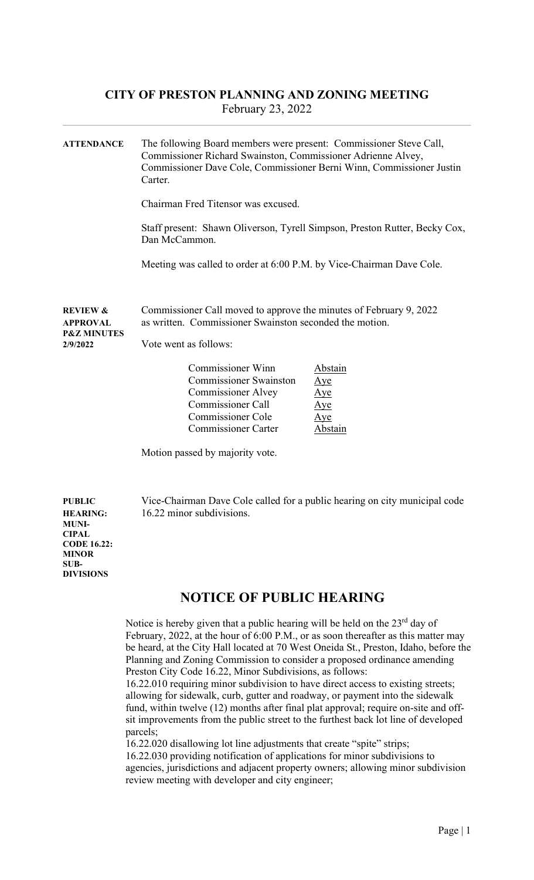## CITY OF PRESTON PLANNING AND ZONING MEETING February 23, 2022

| <b>ATTENDANCE</b>                                                     | The following Board members were present: Commissioner Steve Call,<br>Commissioner Richard Swainston, Commissioner Adrienne Alvey,<br>Commissioner Dave Cole, Commissioner Berni Winn, Commissioner Justin<br>Carter. |                                                                     |  |  |
|-----------------------------------------------------------------------|-----------------------------------------------------------------------------------------------------------------------------------------------------------------------------------------------------------------------|---------------------------------------------------------------------|--|--|
|                                                                       | Chairman Fred Titensor was excused.<br>Staff present: Shawn Oliverson, Tyrell Simpson, Preston Rutter, Becky Cox,<br>Dan McCammon.<br>Meeting was called to order at 6:00 P.M. by Vice-Chairman Dave Cole.            |                                                                     |  |  |
|                                                                       |                                                                                                                                                                                                                       |                                                                     |  |  |
|                                                                       |                                                                                                                                                                                                                       |                                                                     |  |  |
| <b>REVIEW &amp;</b><br>APPROVAL<br><b>P&amp;Z MINUTES</b><br>2/9/2022 | Commissioner Call moved to approve the minutes of February 9, 2022<br>as written. Commissioner Swainston seconded the motion.<br>Vote went as follows:                                                                |                                                                     |  |  |
|                                                                       | <b>Commissioner Winn</b><br><b>Commissioner Swainston</b><br><b>Commissioner Alvey</b><br><b>Commissioner Call</b><br><b>Commissioner Cole</b><br><b>Commissioner Carter</b>                                          | Abstain<br><u>Aye</u><br><u>Aye</u><br>Aye<br>Aye<br><b>Abstain</b> |  |  |
|                                                                       | Motion passed by majority vote.                                                                                                                                                                                       |                                                                     |  |  |
|                                                                       |                                                                                                                                                                                                                       |                                                                     |  |  |

MUNI-**CIPAL** CODE 16.22: MINOR SUB-

DIVISIONS

PUBLIC Vice-Chairman Dave Cole called for a public hearing on city municipal code HEARING: 16.22 minor subdivisions.

## NOTICE OF PUBLIC HEARING

Notice is hereby given that a public hearing will be held on the  $23<sup>rd</sup>$  day of February, 2022, at the hour of 6:00 P.M., or as soon thereafter as this matter may be heard, at the City Hall located at 70 West Oneida St., Preston, Idaho, before the Planning and Zoning Commission to consider a proposed ordinance amending Preston City Code 16.22, Minor Subdivisions, as follows:

16.22.010 requiring minor subdivision to have direct access to existing streets; allowing for sidewalk, curb, gutter and roadway, or payment into the sidewalk fund, within twelve (12) months after final plat approval; require on-site and offsit improvements from the public street to the furthest back lot line of developed parcels;

16.22.020 disallowing lot line adjustments that create "spite" strips; 16.22.030 providing notification of applications for minor subdivisions to agencies, jurisdictions and adjacent property owners; allowing minor subdivision review meeting with developer and city engineer;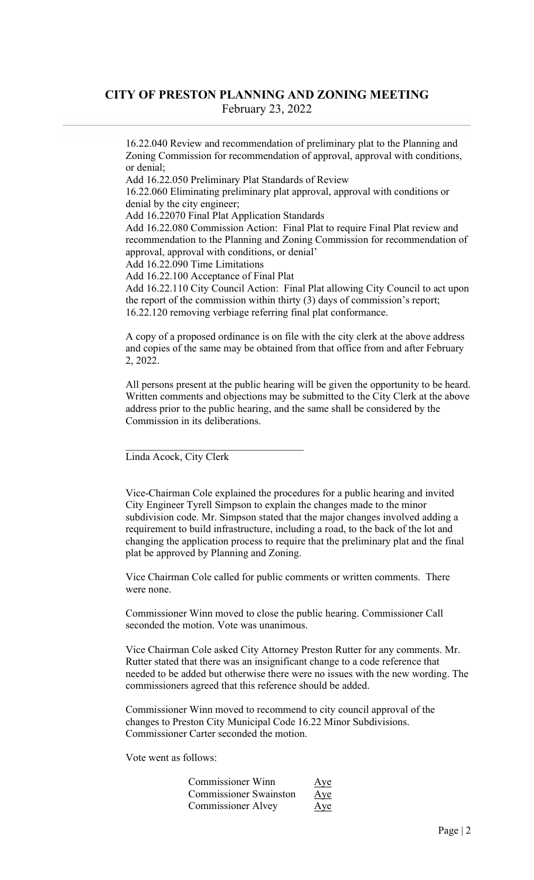## CITY OF PRESTON PLANNING AND ZONING MEETING February 23, 2022

16.22.040 Review and recommendation of preliminary plat to the Planning and Zoning Commission for recommendation of approval, approval with conditions, or denial;

Add 16.22.050 Preliminary Plat Standards of Review

16.22.060 Eliminating preliminary plat approval, approval with conditions or denial by the city engineer;

Add 16.22070 Final Plat Application Standards

Add 16.22.080 Commission Action: Final Plat to require Final Plat review and recommendation to the Planning and Zoning Commission for recommendation of approval, approval with conditions, or denial'

Add 16.22.090 Time Limitations

Add 16.22.100 Acceptance of Final Plat

Add 16.22.110 City Council Action: Final Plat allowing City Council to act upon the report of the commission within thirty (3) days of commission's report; 16.22.120 removing verbiage referring final plat conformance.

A copy of a proposed ordinance is on file with the city clerk at the above address and copies of the same may be obtained from that office from and after February 2, 2022.

All persons present at the public hearing will be given the opportunity to be heard. Written comments and objections may be submitted to the City Clerk at the above address prior to the public hearing, and the same shall be considered by the Commission in its deliberations.

Linda Acock, City Clerk

Vice-Chairman Cole explained the procedures for a public hearing and invited City Engineer Tyrell Simpson to explain the changes made to the minor subdivision code. Mr. Simpson stated that the major changes involved adding a requirement to build infrastructure, including a road, to the back of the lot and changing the application process to require that the preliminary plat and the final plat be approved by Planning and Zoning.

Vice Chairman Cole called for public comments or written comments. There were none.

Commissioner Winn moved to close the public hearing. Commissioner Call seconded the motion. Vote was unanimous.

Vice Chairman Cole asked City Attorney Preston Rutter for any comments. Mr. Rutter stated that there was an insignificant change to a code reference that needed to be added but otherwise there were no issues with the new wording. The commissioners agreed that this reference should be added.

Commissioner Winn moved to recommend to city council approval of the changes to Preston City Municipal Code 16.22 Minor Subdivisions. Commissioner Carter seconded the motion.

Vote went as follows:

| Commissioner Winn             | Aye |
|-------------------------------|-----|
| <b>Commissioner Swainston</b> | Aye |
| <b>Commissioner Alvey</b>     | Aye |